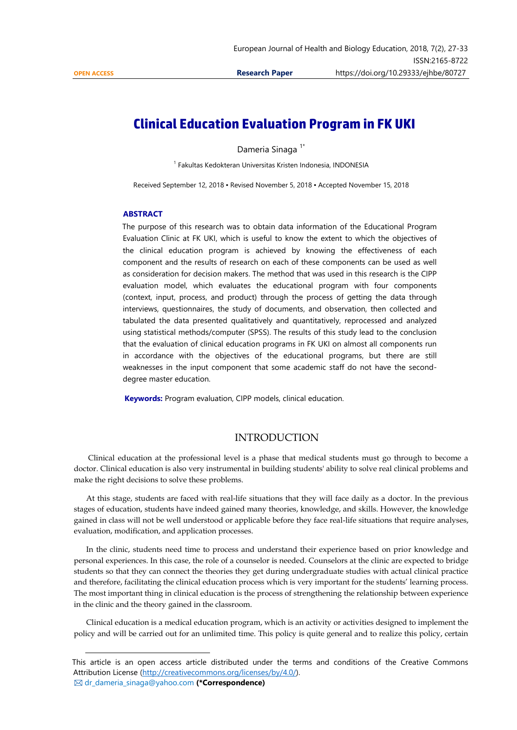$\overline{a}$ 

# **Clinical Education Evaluation Program in FK UKI**

Dameria Sinaga<sup>1\*</sup>

<sup>1</sup> Fakultas Kedokteran Universitas Kristen Indonesia, INDONESIA

Received September 12, 2018 ▪ Revised November 5, 2018 ▪ Accepted November 15, 2018

#### **ABSTRACT**

The purpose of this research was to obtain data information of the Educational Program Evaluation Clinic at FK UKI, which is useful to know the extent to which the objectives of the clinical education program is achieved by knowing the effectiveness of each component and the results of research on each of these components can be used as well as consideration for decision makers. The method that was used in this research is the CIPP evaluation model, which evaluates the educational program with four components (context, input, process, and product) through the process of getting the data through interviews, questionnaires, the study of documents, and observation, then collected and tabulated the data presented qualitatively and quantitatively, reprocessed and analyzed using statistical methods/computer (SPSS). The results of this study lead to the conclusion that the evaluation of clinical education programs in FK UKI on almost all components run in accordance with the objectives of the educational programs, but there are still weaknesses in the input component that some academic staff do not have the seconddegree master education.

**Keywords:** Program evaluation, CIPP models, clinical education.

## INTRODUCTION

Clinical education at the professional level is a phase that medical students must go through to become a doctor. Clinical education is also very instrumental in building students' ability to solve real clinical problems and make the right decisions to solve these problems.

At this stage, students are faced with real-life situations that they will face daily as a doctor. In the previous stages of education, students have indeed gained many theories, knowledge, and skills. However, the knowledge gained in class will not be well understood or applicable before they face real-life situations that require analyses, evaluation, modification, and application processes.

In the clinic, students need time to process and understand their experience based on prior knowledge and personal experiences. In this case, the role of a counselor is needed. Counselors at the clinic are expected to bridge students so that they can connect the theories they get during undergraduate studies with actual clinical practice and therefore, facilitating the clinical education process which is very important for the students' learning process. The most important thing in clinical education is the process of strengthening the relationship between experience in the clinic and the theory gained in the classroom.

Clinical education is a medical education program, which is an activity or activities designed to implement the policy and will be carried out for an unlimited time. This policy is quite general and to realize this policy, certain

This article is an open access article distributed under the terms and conditions of the Creative Commons Attribution License [\(http://creativecommons.org/licenses/by/4.0/\)](http://creativecommons.org/licenses/by/4.0/). dr\_dameria\_sinaga@yahoo.com **(\*Correspondence)**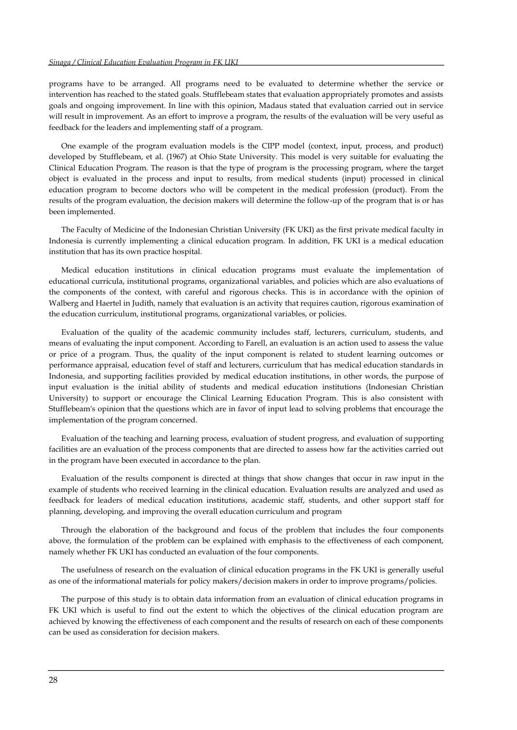programs have to be arranged. All programs need to be evaluated to determine whether the service or intervention has reached to the stated goals. Stufflebeam states that evaluation appropriately promotes and assists goals and ongoing improvement. In line with this opinion, Madaus stated that evaluation carried out in service will result in improvement. As an effort to improve a program, the results of the evaluation will be very useful as feedback for the leaders and implementing staff of a program.

One example of the program evaluation models is the CIPP model (context, input, process, and product) developed by Stufflebeam, et al. (1967) at Ohio State University. This model is very suitable for evaluating the Clinical Education Program. The reason is that the type of program is the processing program, where the target object is evaluated in the process and input to results, from medical students (input) processed in clinical education program to become doctors who will be competent in the medical profession (product). From the results of the program evaluation, the decision makers will determine the follow-up of the program that is or has been implemented.

The Faculty of Medicine of the Indonesian Christian University (FK UKI) as the first private medical faculty in Indonesia is currently implementing a clinical education program. In addition, FK UKI is a medical education institution that has its own practice hospital.

Medical education institutions in clinical education programs must evaluate the implementation of educational curricula, institutional programs, organizational variables, and policies which are also evaluations of the components of the context, with careful and rigorous checks. This is in accordance with the opinion of Walberg and Haertel in Judith, namely that evaluation is an activity that requires caution, rigorous examination of the education curriculum, institutional programs, organizational variables, or policies.

Evaluation of the quality of the academic community includes staff, lecturers, curriculum, students, and means of evaluating the input component. According to Farell, an evaluation is an action used to assess the value or price of a program. Thus, the quality of the input component is related to student learning outcomes or performance appraisal, education fevel of staff and lecturers, curriculum that has medical education standards in Indonesia, and supporting facilities provided by medical education institutions, in other words, the purpose of input evaluation is the initial ability of students and medical education institutions (Indonesian Christian University) to support or encourage the Clinical Learning Education Program. This is also consistent with Stufflebeam's opinion that the questions which are in favor of input lead to solving problems that encourage the implementation of the program concerned.

Evaluation of the teaching and learning process, evaluation of student progress, and evaluation of supporting facilities are an evaluation of the process components that are directed to assess how far the activities carried out in the program have been executed in accordance to the plan.

Evaluation of the results component is directed at things that show changes that occur in raw input in the example of students who received learning in the clinical education. Evaluation results are analyzed and used as feedback for leaders of medical education institutions, academic staff, students, and other support staff for planning, developing, and improving the overall education curriculum and program

Through the elaboration of the background and focus of the problem that includes the four components above, the formulation of the problem can be explained with emphasis to the effectiveness of each component, namely whether FK UKI has conducted an evaluation of the four components.

The usefulness of research on the evaluation of clinical education programs in the FK UKI is generally useful as one of the informational materials for policy makers/decision makers in order to improve programs/policies.

The purpose of this study is to obtain data information from an evaluation of clinical education programs in FK UKI which is useful to find out the extent to which the objectives of the clinical education program are achieved by knowing the effectiveness of each component and the results of research on each of these components can be used as consideration for decision makers.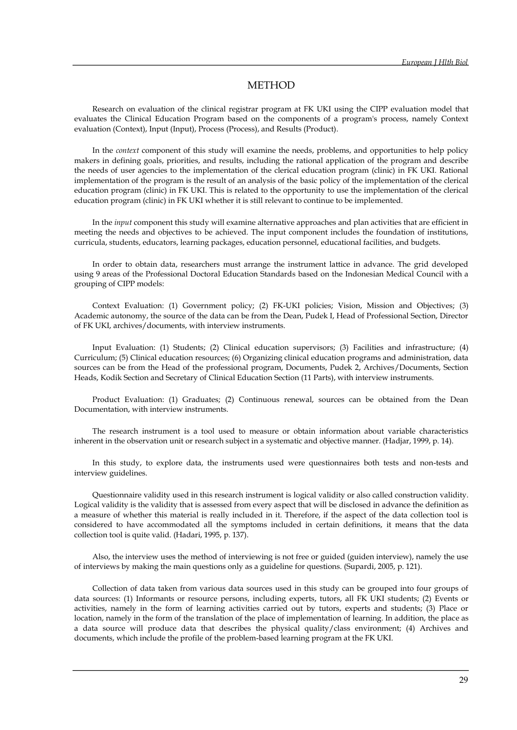## METHOD

Research on evaluation of the clinical registrar program at FK UKI using the CIPP evaluation model that evaluates the Clinical Education Program based on the components of a program's process, namely Context evaluation (Context), Input (Input), Process (Process), and Results (Product).

In the *context* component of this study will examine the needs, problems, and opportunities to help policy makers in defining goals, priorities, and results, including the rational application of the program and describe the needs of user agencies to the implementation of the clerical education program (clinic) in FK UKI. Rational implementation of the program is the result of an analysis of the basic policy of the implementation of the clerical education program (clinic) in FK UKI. This is related to the opportunity to use the implementation of the clerical education program (clinic) in FK UKI whether it is still relevant to continue to be implemented.

In the *input* component this study will examine alternative approaches and plan activities that are efficient in meeting the needs and objectives to be achieved. The input component includes the foundation of institutions, curricula, students, educators, learning packages, education personnel, educational facilities, and budgets.

In order to obtain data, researchers must arrange the instrument lattice in advance. The grid developed using 9 areas of the Professional Doctoral Education Standards based on the Indonesian Medical Council with a grouping of CIPP models:

Context Evaluation: (1) Government policy; (2) FK-UKI policies; Vision, Mission and Objectives; (3) Academic autonomy, the source of the data can be from the Dean, Pudek I, Head of Professional Section, Director of FK UKI, archives/documents, with interview instruments.

Input Evaluation: (1) Students; (2) Clinical education supervisors; (3) Facilities and infrastructure; (4) Curriculum; (5) Clinical education resources; (6) Organizing clinical education programs and administration, data sources can be from the Head of the professional program, Documents, Pudek 2, Archives/Documents, Section Heads, Kodik Section and Secretary of Clinical Education Section (11 Parts), with interview instruments.

Product Evaluation: (1) Graduates; (2) Continuous renewal, sources can be obtained from the Dean Documentation, with interview instruments.

The research instrument is a tool used to measure or obtain information about variable characteristics inherent in the observation unit or research subject in a systematic and objective manner. (Hadjar, 1999, p. 14).

In this study, to explore data, the instruments used were questionnaires both tests and non-tests and interview guidelines.

Questionnaire validity used in this research instrument is logical validity or also called construction validity. Logical validity is the validity that is assessed from every aspect that will be disclosed in advance the definition as a measure of whether this material is really included in it. Therefore, if the aspect of the data collection tool is considered to have accommodated all the symptoms included in certain definitions, it means that the data collection tool is quite valid. (Hadari, 1995, p. 137).

Also, the interview uses the method of interviewing is not free or guided (guiden interview), namely the use of interviews by making the main questions only as a guideline for questions. (Supardi, 2005, p. 121).

Collection of data taken from various data sources used in this study can be grouped into four groups of data sources: (1) Informants or resource persons, including experts, tutors, all FK UKI students; (2) Events or activities, namely in the form of learning activities carried out by tutors, experts and students; (3) Place or location, namely in the form of the translation of the place of implementation of learning. In addition, the place as a data source will produce data that describes the physical quality/class environment; (4) Archives and documents, which include the profile of the problem-based learning program at the FK UKI.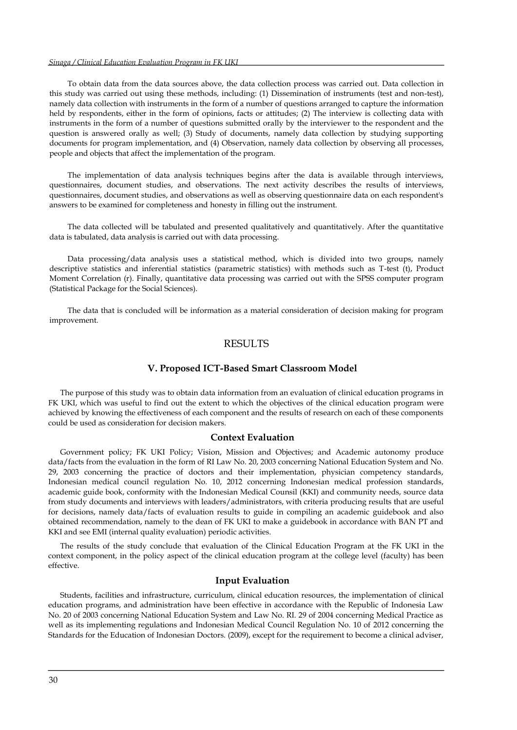#### *Sinaga / Clinical Education Evaluation Program in FK UKI*

To obtain data from the data sources above, the data collection process was carried out. Data collection in this study was carried out using these methods, including: (1) Dissemination of instruments (test and non-test), namely data collection with instruments in the form of a number of questions arranged to capture the information held by respondents, either in the form of opinions, facts or attitudes; (2) The interview is collecting data with instruments in the form of a number of questions submitted orally by the interviewer to the respondent and the question is answered orally as well; (3) Study of documents, namely data collection by studying supporting documents for program implementation, and (4) Observation, namely data collection by observing all processes, people and objects that affect the implementation of the program.

The implementation of data analysis techniques begins after the data is available through interviews, questionnaires, document studies, and observations. The next activity describes the results of interviews, questionnaires, document studies, and observations as well as observing questionnaire data on each respondent's answers to be examined for completeness and honesty in filling out the instrument.

The data collected will be tabulated and presented qualitatively and quantitatively. After the quantitative data is tabulated, data analysis is carried out with data processing.

Data processing/data analysis uses a statistical method, which is divided into two groups, namely descriptive statistics and inferential statistics (parametric statistics) with methods such as T-test (t), Product Moment Correlation (r). Finally, quantitative data processing was carried out with the SPSS computer program (Statistical Package for the Social Sciences).

The data that is concluded will be information as a material consideration of decision making for program improvement.

## RESULTS

#### **V. Proposed ICT-Based Smart Classroom Model**

The purpose of this study was to obtain data information from an evaluation of clinical education programs in FK UKI, which was useful to find out the extent to which the objectives of the clinical education program were achieved by knowing the effectiveness of each component and the results of research on each of these components could be used as consideration for decision makers.

#### **Context Evaluation**

Government policy; FK UKI Policy; Vision, Mission and Objectives; and Academic autonomy produce data/facts from the evaluation in the form of RI Law No. 20, 2003 concerning National Education System and No. 29, 2003 concerning the practice of doctors and their implementation, physician competency standards, Indonesian medical council regulation No. 10, 2012 concerning Indonesian medical profession standards, academic guide book, conformity with the Indonesian Medical Counsil (KKI) and community needs, source data from study documents and interviews with leaders/administrators, with criteria producing results that are useful for decisions, namely data/facts of evaluation results to guide in compiling an academic guidebook and also obtained recommendation, namely to the dean of FK UKI to make a guidebook in accordance with BAN PT and KKI and see EMI (internal quality evaluation) periodic activities.

The results of the study conclude that evaluation of the Clinical Education Program at the FK UKI in the context component, in the policy aspect of the clinical education program at the college level (faculty) has been effective.

#### **Input Evaluation**

Students, facilities and infrastructure, curriculum, clinical education resources, the implementation of clinical education programs, and administration have been effective in accordance with the Republic of Indonesia Law No. 20 of 2003 concerning National Education System and Law No. RI. 29 of 2004 concerning Medical Practice as well as its implementing regulations and Indonesian Medical Council Regulation No. 10 of 2012 concerning the Standards for the Education of Indonesian Doctors. (2009), except for the requirement to become a clinical adviser,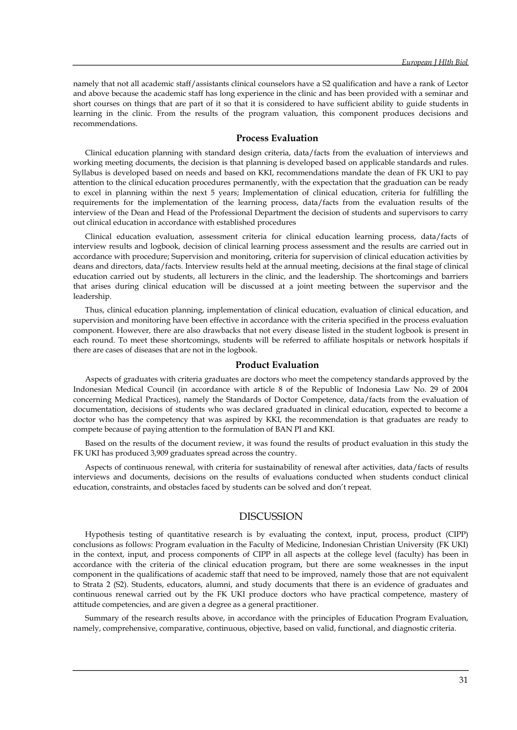namely that not all academic staff/assistants clinical counselors have a S2 qualification and have a rank of Lector and above because the academic staff has long experience in the clinic and has been provided with a seminar and short courses on things that are part of it so that it is considered to have sufficient ability to guide students in learning in the clinic. From the results of the program valuation, this component produces decisions and recommendations.

## **Process Evaluation**

Clinical education planning with standard design criteria, data/facts from the evaluation of interviews and working meeting documents, the decision is that planning is developed based on applicable standards and rules. Syllabus is developed based on needs and based on KKI, recommendations mandate the dean of FK UKI to pay attention to the clinical education procedures permanently, with the expectation that the graduation can be ready to excel in planning within the next 5 years; Implementation of clinical education, criteria for fulfilling the requirements for the implementation of the learning process, data/facts from the evaluation results of the interview of the Dean and Head of the Professional Department the decision of students and supervisors to carry out clinical education in accordance with established procedures

Clinical education evaluation, assessment criteria for clinical education learning process, data/facts of interview results and logbook, decision of clinical learning process assessment and the results are carried out in accordance with procedure; Supervision and monitoring, criteria for supervision of clinical education activities by deans and directors, data/facts. Interview results held at the annual meeting, decisions at the final stage of clinical education carried out by students, all lecturers in the clinic, and the leadership. The shortcomings and barriers that arises during clinical education will be discussed at a joint meeting between the supervisor and the leadership.

Thus, clinical education planning, implementation of clinical education, evaluation of clinical education, and supervision and monitoring have been effective in accordance with the criteria specified in the process evaluation component. However, there are also drawbacks that not every disease listed in the student logbook is present in each round. To meet these shortcomings, students will be referred to affiliate hospitals or network hospitals if there are cases of diseases that are not in the logbook.

#### **Product Evaluation**

Aspects of graduates with criteria graduates are doctors who meet the competency standards approved by the Indonesian Medical Council (in accordance with article 8 of the Republic of Indonesia Law No. 29 of 2004 concerning Medical Practices), namely the Standards of Doctor Competence, data/facts from the evaluation of documentation, decisions of students who was declared graduated in clinical education, expected to become a doctor who has the competency that was aspired by KKI, the recommendation is that graduates are ready to compete because of paying attention to the formulation of BAN PI and KKI.

Based on the results of the document review, it was found the results of product evaluation in this study the FK UKI has produced 3,909 graduates spread across the country.

Aspects of continuous renewal, with criteria for sustainability of renewal after activities, data/facts of results interviews and documents, decisions on the results of evaluations conducted when students conduct clinical education, constraints, and obstacles faced by students can be solved and don't repeat.

## DISCUSSION

Hypothesis testing of quantitative research is by evaluating the context, input, process, product (CIPP) conclusions as follows: Program evaluation in the Faculty of Medicine, Indonesian Christian University (FK UKI) in the context, input, and process components of CIPP in all aspects at the college level (faculty) has been in accordance with the criteria of the clinical education program, but there are some weaknesses in the input component in the qualifications of academic staff that need to be improved, namely those that are not equivalent to Strata 2 (S2). Students, educators, alumni, and study documents that there is an evidence of graduates and continuous renewal carried out by the FK UKI produce doctors who have practical competence, mastery of attitude competencies, and are given a degree as a general practitioner.

Summary of the research results above, in accordance with the principles of Education Program Evaluation, namely, comprehensive, comparative, continuous, objective, based on valid, functional, and diagnostic criteria.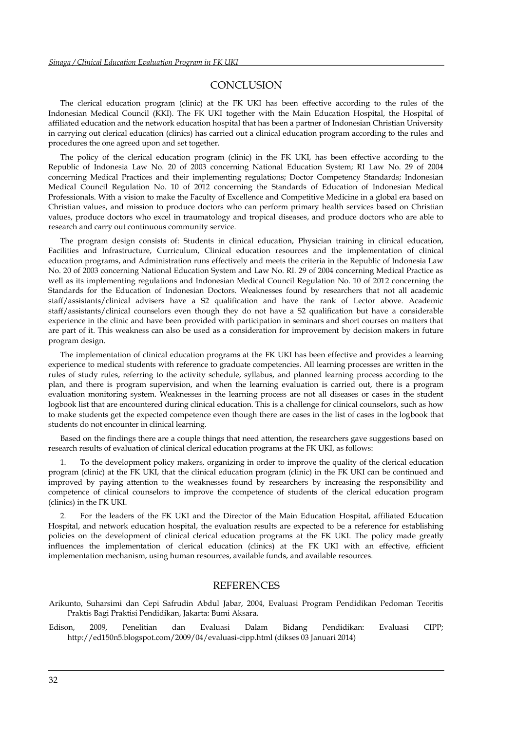## **CONCLUSION**

The clerical education program (clinic) at the FK UKI has been effective according to the rules of the Indonesian Medical Council (KKI). The FK UKI together with the Main Education Hospital, the Hospital of affiliated education and the network education hospital that has been a partner of Indonesian Christian University in carrying out clerical education (clinics) has carried out a clinical education program according to the rules and procedures the one agreed upon and set together.

The policy of the clerical education program (clinic) in the FK UKI, has been effective according to the Republic of Indonesia Law No. 20 of 2003 concerning National Education System; RI Law No. 29 of 2004 concerning Medical Practices and their implementing regulations; Doctor Competency Standards; Indonesian Medical Council Regulation No. 10 of 2012 concerning the Standards of Education of Indonesian Medical Professionals. With a vision to make the Faculty of Excellence and Competitive Medicine in a global era based on Christian values, and mission to produce doctors who can perform primary health services based on Christian values, produce doctors who excel in traumatology and tropical diseases, and produce doctors who are able to research and carry out continuous community service.

The program design consists of: Students in clinical education, Physician training in clinical education, Facilities and Infrastructure, Curriculum, Clinical education resources and the implementation of clinical education programs, and Administration runs effectively and meets the criteria in the Republic of Indonesia Law No. 20 of 2003 concerning National Education System and Law No. RI. 29 of 2004 concerning Medical Practice as well as its implementing regulations and Indonesian Medical Council Regulation No. 10 of 2012 concerning the Standards for the Education of Indonesian Doctors. Weaknesses found by researchers that not all academic staff/assistants/clinical advisers have a S2 qualification and have the rank of Lector above. Academic staff/assistants/clinical counselors even though they do not have a S2 qualification but have a considerable experience in the clinic and have been provided with participation in seminars and short courses on matters that are part of it. This weakness can also be used as a consideration for improvement by decision makers in future program design.

The implementation of clinical education programs at the FK UKI has been effective and provides a learning experience to medical students with reference to graduate competencies. All learning processes are written in the rules of study rules, referring to the activity schedule, syllabus, and planned learning process according to the plan, and there is program supervision, and when the learning evaluation is carried out, there is a program evaluation monitoring system. Weaknesses in the learning process are not all diseases or cases in the student logbook list that are encountered during clinical education. This is a challenge for clinical counselors, such as how to make students get the expected competence even though there are cases in the list of cases in the logbook that students do not encounter in clinical learning.

Based on the findings there are a couple things that need attention, the researchers gave suggestions based on research results of evaluation of clinical clerical education programs at the FK UKI, as follows:

1. To the development policy makers, organizing in order to improve the quality of the clerical education program (clinic) at the FK UKI, that the clinical education program (clinic) in the FK UKI can be continued and improved by paying attention to the weaknesses found by researchers by increasing the responsibility and competence of clinical counselors to improve the competence of students of the clerical education program (clinics) in the FK UKI.

2. For the leaders of the FK UKI and the Director of the Main Education Hospital, affiliated Education Hospital, and network education hospital, the evaluation results are expected to be a reference for establishing policies on the development of clinical clerical education programs at the FK UKI. The policy made greatly influences the implementation of clerical education (clinics) at the FK UKI with an effective, efficient implementation mechanism, using human resources, available funds, and available resources.

## **REFERENCES**

- Arikunto, Suharsimi dan Cepi Safrudin Abdul Jabar, 2004, Evaluasi Program Pendidikan Pedoman Teoritis Praktis Bagi Praktisi Pendidikan, Jakarta: Bumi Aksara.
- Edison, 2009, Penelitian dan Evaluasi Dalam Bidang Pendidikan: Evaluasi CIPP; http://ed150n5.blogspot.com/2009/04/evaluasi-cipp.html (dikses 03 Januari 2014)